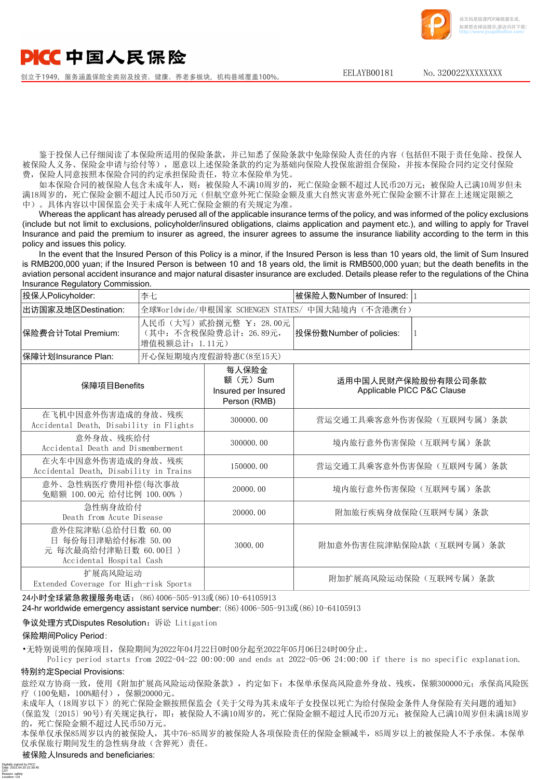## DICC中国人民保险

创立于1949, 服务涵盖保险全类别及投资、健康、养老多板块, 机构县域覆盖100%

EELAYB00181 No. 320022XXXXXXXX

该文档是极速PDF编辑器生成, 如果想去掉该提示,请访问并下载: http://[www.jisupdfeditor.com/](http://www.jisupdfeditor.com?watermark)

鉴于投保人已仔细阅读了本保险所适用的保险条款,并已知悉了保险条款中免除保险人责任的内容(包括但不限于责任免除、投保人 被保险人义务、保险金申请与给付等),愿意以上述保险条款的约定为基础向保险人投保旅游组合保险,并按本保险合同约定交付保险 费,保险人同意按照本保险合同的约定承担保险责任,特立本保险单为凭。

如本保险合同的被保险人包含未成年人,则:被保险人不满10周岁的,死亡保险金额不超过人民币20万元;被保险人已满10周岁但未 满18周岁的,死亡保险金额不超过人民币50万元(但航空意外死亡保险金额及重大自然灾害意外死亡保险金额不计算在上述规定限额之 中)。具体内容以中国保监会关于未成年人死亡保险金额的有关规定为准。

Whereas the applicant has already perused all of the applicable insurance terms of the policy, and was informed of the policy exclusions (include but not limit to exclusions, policyholder/insured obligations, claims application and payment etc.), and willing to apply for Travel Insurance and paid the premium to insurer as agreed, the insurer agrees to assume the insurance liability according to the term in this policy and issues this policy.

In the event that the Insured Person of this Policy is a minor, if the Insured Person is less than 10 years old, the limit of Sum Insured is RMB200,000 yuan; if the Insured Person is between 10 and 18 years old, the limit is RMB500,000 yuan; but the death benefits in the aviation personal accident insurance and major natural disaster insurance are excluded. Details please refer to the regulations of the China Insurance Regulatory Commission.

| 投保人Policyholder:                                                  | 李七                                                                 |                                                         | 被保险人数Number of Insured:  1                       |  |  |  |  |
|-------------------------------------------------------------------|--------------------------------------------------------------------|---------------------------------------------------------|--------------------------------------------------|--|--|--|--|
| 出访国家及地区Destination:                                               | 全球Worldwide/申根国家 SCHENGEN STATES/ 中国大陆境内 (不含港澳台)                   |                                                         |                                                  |  |  |  |  |
| 保险费合计Total Premium:                                               | 人民币(大写)贰拾捌元整 ¥: 28.00元<br>(其中: 不含税保险费总计: 26.89元,<br>增值税额总计: 1.11元) |                                                         | 投保份数Number of policies:                          |  |  |  |  |
| 保障计划Insurance Plan:                                               |                                                                    | 开心保短期境内度假游特惠C(8至15天)                                    |                                                  |  |  |  |  |
| 保障项目Benefits                                                      |                                                                    | 每人保险金<br>额(元)Sum<br>Insured per Insured<br>Person (RMB) | 适用中国人民财产保险股份有限公司条款<br>Applicable PICC P&C Clause |  |  |  |  |
| 在飞机中因意外伤害造成的身故、残疾<br>Accidental Death, Disability in Flights      |                                                                    | 300000.00                                               | 营运交通工具乘客意外伤害保险(互联网专属)条款                          |  |  |  |  |
| 意外身故、残疾给付<br>Accidental Death and Dismemberment                   |                                                                    | 300000,00                                               | 境内旅行意外伤害保险(互联网专属)条款                              |  |  |  |  |
| 在火车中因意外伤害造成的身故、残疾<br>Accidental Death, Disability in Trains       |                                                                    | 150000.00                                               | 营运交通工具乘客意外伤害保险(互联网专属)条款                          |  |  |  |  |
| 意外、急性病医疗费用补偿(每次事故<br>免赔额 100.00元 给付比例 100.00%)                    |                                                                    | 20000.00                                                | 境内旅行意外伤害保险(互联网专属)条款                              |  |  |  |  |
| 急性病身故给付<br>Death from Acute Disease                               |                                                                    | 20000.00                                                | 附加旅行疾病身故保险(互联网专属) 条款                             |  |  |  |  |
| 意外住院津贴(总给付日数 60.00<br>日 每份每日津贴给付标准 50.00<br>元 每次最高给付津贴日数 60.00日 ) |                                                                    | 3000.00                                                 | 附加意外伤害住院津贴保险A款(互联网专属)条款                          |  |  |  |  |

扩展高风险运动 The Theorem Theorem The Theorem Theorem The Theorem Theorem Theorem The Theorem Theorem The Theorem Theorem The The<br>
Extended Coverage for High-risk Sports

Accidental Hospital Cash

24小时全球紧急救援服务电话:(86)4006-505-913或(86)10-64105913

24-hr worldwide emergency assistant service number: (86)4006-505-913或(86)10-64105913

争议处理方式Disputes Resolution:诉讼 Litigation

## 保险期间Policy Period:

Digitally signed by PICC<br>Date: 2022.04.20 22:38:45<br>CST<br>Reason: safety<br>Location: CN

•无特别说明的保障项目,保险期间为2022年04月22日0时00分起至2022年05月06日24时00分止。

 Policy period starts from 2022-04-22 00:00:00 and ends at 2022-05-06 24:00:00 if there is no specific explanation. 特别约定Special Provisions:

兹经双方协商一致,使用《附加扩展高风险运动保险条款》,约定如下:本保单承保高风险意外身故、残疾,保额300000元;承保高风险医 疗(100免赔,100%赔付),保额20000元。

未成年人(18周岁以下)的死亡保险金额按照保监会《关于父母为其未成年子女投保以死亡为给付保险金条件人身保险有关问题的通知》 (保监发〔2015〕90号)有关规定执行,即:被保险人不满10周岁的,死亡保险金额不超过人民币20万元;被保险人已满10周岁但未满18周岁 的,死亡保险金额不超过人民币50万元。

本保单仅承保85周岁以内的被保险人,其中76-85周岁的被保险人各项保险责任的保险金额减半,85周岁以上的被保险人不予承保。本保单 仅承保旅行期间发生的急性病身故(含猝死)责任。

## 被保险人Insureds and beneficiaries: